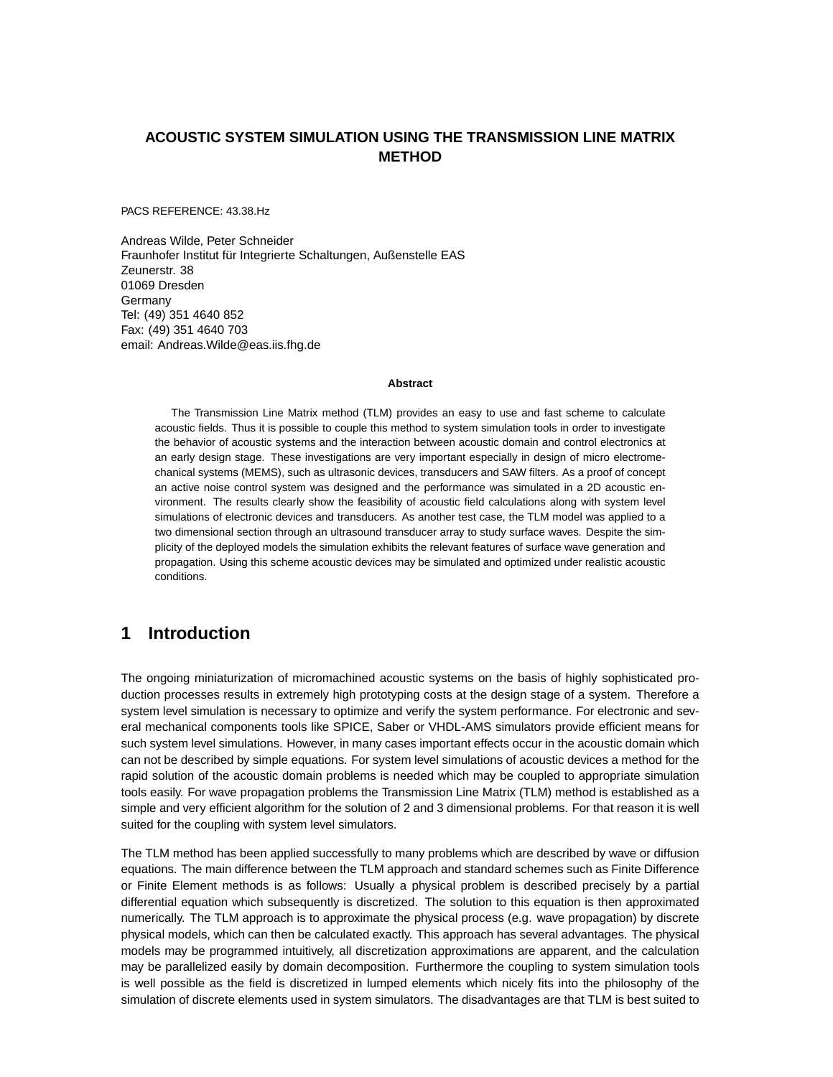### **ACOUSTIC SYSTEM SIMULATION USING THE TRANSMISSION LINE MATRIX METHOD**

PACS REFERENCE: 43.38.Hz

Andreas Wilde, Peter Schneider Fraunhofer Institut für Integrierte Schaltungen, Außenstelle EAS Zeunerstr. 38 01069 Dresden Germany Tel: (49) 351 4640 852 Fax: (49) 351 4640 703 email: Andreas.Wilde@eas.iis.fhg.de

#### **Abstract**

The Transmission Line Matrix method (TLM) provides an easy to use and fast scheme to calculate acoustic fields. Thus it is possible to couple this method to system simulation tools in order to investigate the behavior of acoustic systems and the interaction between acoustic domain and control electronics at an early design stage. These investigations are very important especially in design of micro electromechanical systems (MEMS), such as ultrasonic devices, transducers and SAW filters. As a proof of concept an active noise control system was designed and the performance was simulated in a 2D acoustic environment. The results clearly show the feasibility of acoustic field calculations along with system level simulations of electronic devices and transducers. As another test case, the TLM model was applied to a two dimensional section through an ultrasound transducer array to study surface waves. Despite the simplicity of the deployed models the simulation exhibits the relevant features of surface wave generation and propagation. Using this scheme acoustic devices may be simulated and optimized under realistic acoustic conditions.

## **1 Introduction**

The ongoing miniaturization of micromachined acoustic systems on the basis of highly sophisticated production processes results in extremely high prototyping costs at the design stage of a system. Therefore a system level simulation is necessary to optimize and verify the system performance. For electronic and several mechanical components tools like SPICE, Saber or VHDL-AMS simulators provide efficient means for such system level simulations. However, in many cases important effects occur in the acoustic domain which can not be described by simple equations. For system level simulations of acoustic devices a method for the rapid solution of the acoustic domain problems is needed which may be coupled to appropriate simulation tools easily. For wave propagation problems the Transmission Line Matrix (TLM) method is established as a simple and very efficient algorithm for the solution of 2 and 3 dimensional problems. For that reason it is well suited for the coupling with system level simulators.

The TLM method has been applied successfully to many problems which are described by wave or diffusion equations. The main difference between the TLM approach and standard schemes such as Finite Difference or Finite Element methods is as follows: Usually a physical problem is described precisely by a partial differential equation which subsequently is discretized. The solution to this equation is then approximated numerically. The TLM approach is to approximate the physical process (e.g. wave propagation) by discrete physical models, which can then be calculated exactly. This approach has several advantages. The physical models may be programmed intuitively, all discretization approximations are apparent, and the calculation may be parallelized easily by domain decomposition. Furthermore the coupling to system simulation tools is well possible as the field is discretized in lumped elements which nicely fits into the philosophy of the simulation of discrete elements used in system simulators. The disadvantages are that TLM is best suited to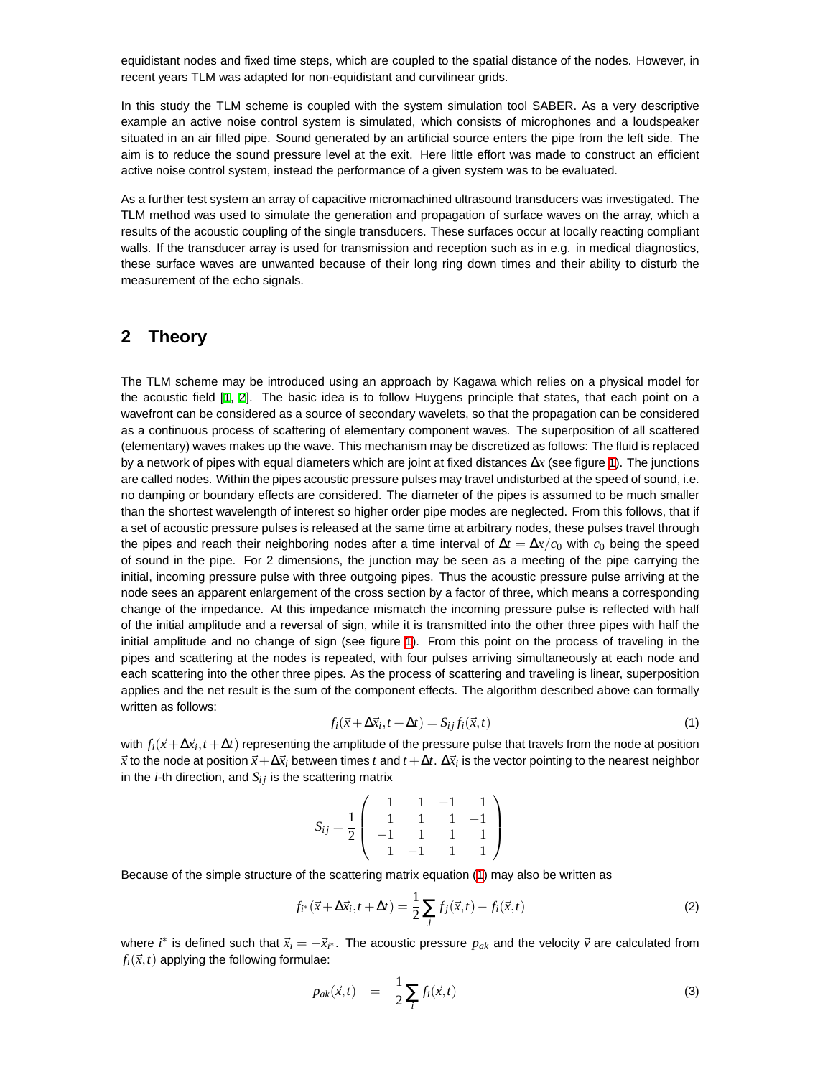equidistant nodes and fixed time steps, which are coupled to the spatial distance of the nodes. However, in recent years TLM was adapted for non-equidistant and curvilinear grids.

In this study the TLM scheme is coupled with the system simulation tool SABER. As a very descriptive example an active noise control system is simulated, which consists of microphones and a loudspeaker situated in an air filled pipe. Sound generated by an artificial source enters the pipe from the left side. The aim is to reduce the sound pressure level at the exit. Here little effort was made to construct an efficient active noise control system, instead the performance of a given system was to be evaluated.

As a further test system an array of capacitive micromachined ultrasound transducers was investigated. The TLM method was used to simulate the generation and propagation of surface waves on the array, which a results of the acoustic coupling of the single transducers. These surfaces occur at locally reacting compliant walls. If the transducer array is used for transmission and reception such as in e.g. in medical diagnostics, these surface waves are unwanted because of their long ring down times and their ability to disturb the measurement of the echo signals.

#### **2 Theory**

The TLM scheme may be introduced using an approach by Kagawa which relies on a physical model for the acoustic field [[1,](#page-5-0) [2\]](#page-5-1). The basic idea is to follow Huygens principle that states, that each point on a wavefront can be considered as a source of secondary wavelets, so that the propagation can be considered as a continuous process of scattering of elementary component waves. The superposition of all scattered (elementary) waves makes up the wave. This mechanism may be discretized as follows: The fluid is replaced by a network of pipes with equal diameters which are joint at fixed distances ∆*x* (see figure [1\)](#page-2-0). The junctions are called nodes. Within the pipes acoustic pressure pulses may travel undisturbed at the speed of sound, i.e. no damping or boundary effects are considered. The diameter of the pipes is assumed to be much smaller than the shortest wavelength of interest so higher order pipe modes are neglected. From this follows, that if a set of acoustic pressure pulses is released at the same time at arbitrary nodes, these pulses travel through the pipes and reach their neighboring nodes after a time interval of  $\Delta t = \Delta x/c_0$  with  $c_0$  being the speed of sound in the pipe. For 2 dimensions, the junction may be seen as a meeting of the pipe carrying the initial, incoming pressure pulse with three outgoing pipes. Thus the acoustic pressure pulse arriving at the node sees an apparent enlargement of the cross section by a factor of three, which means a corresponding change of the impedance. At this impedance mismatch the incoming pressure pulse is reflected with half of the initial amplitude and a reversal of sign, while it is transmitted into the other three pipes with half the initial amplitude and no change of sign (see figure [1\)](#page-2-0). From this point on the process of traveling in the pipes and scattering at the nodes is repeated, with four pulses arriving simultaneously at each node and each scattering into the other three pipes. As the process of scattering and traveling is linear, superposition applies and the net result is the sum of the component effects. The algorithm described above can formally written as follows:

<span id="page-1-0"></span>
$$
f_i(\vec{x} + \Delta \vec{x}_i, t + \Delta t) = S_{ij} f_i(\vec{x}, t)
$$
\n(1)

with  $f_i(\vec{x}+\Delta\vec{x}_i,t+\Delta t)$  representing the amplitude of the pressure pulse that travels from the node at position  $\vec{x}$  to the node at position  $\vec{x} + \Delta \vec{x}_i$  between times  $t$  and  $t + \Delta t$ .  $\Delta \vec{x}_i$  is the vector pointing to the nearest neighbor in the  $i$ -th direction, and  $S_{ij}$  is the scattering matrix

$$
S_{ij} = \frac{1}{2} \left( \begin{array}{rrrr} 1 & 1 & -1 & 1 \\ 1 & 1 & 1 & -1 \\ -1 & 1 & 1 & 1 \\ 1 & -1 & 1 & 1 \end{array} \right)
$$

Because of the simple structure of the scattering matrix equation ([1\)](#page-1-0) may also be written as

<span id="page-1-1"></span>
$$
f_{i^*}(\vec{x} + \Delta \vec{x}_i, t + \Delta t) = \frac{1}{2} \sum_j f_j(\vec{x}, t) - f_i(\vec{x}, t)
$$
 (2)

where *i*<sup>\*</sup> is defined such that  $\vec{x}_i = -\vec{x}_{i^*}$ . The acoustic pressure  $p_{ak}$  and the velocity  $\vec{v}$  are calculated from  $f_i(\vec{x},t)$  applying the following formulae:

<span id="page-1-2"></span>
$$
p_{ak}(\vec{x},t) = \frac{1}{2} \sum_{i} f_i(\vec{x},t) \tag{3}
$$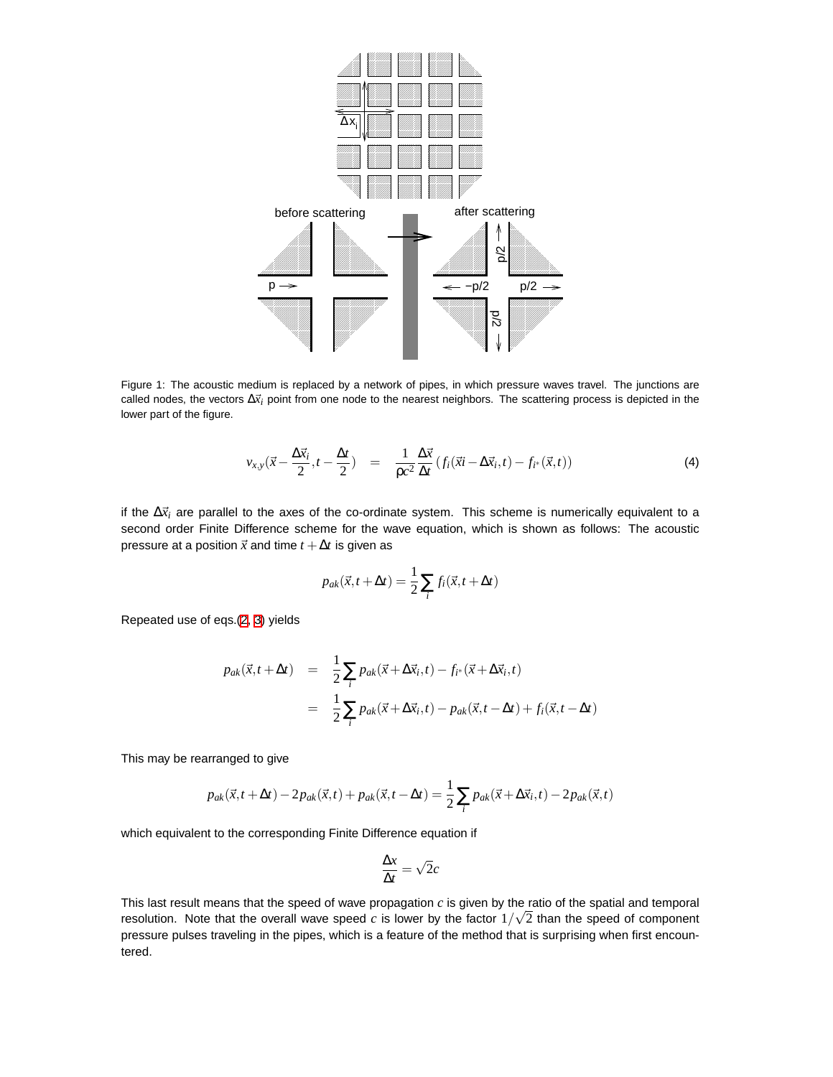

<span id="page-2-0"></span>Figure 1: The acoustic medium is replaced by a network of pipes, in which pressure waves travel. The junctions are called nodes, the vectors  $\Delta \vec{x}_i$  point from one node to the nearest neighbors. The scattering process is depicted in the lower part of the figure.

$$
v_{x,y}(\vec{x} - \frac{\Delta \vec{x}_i}{2}, t - \frac{\Delta t}{2}) = \frac{1}{\rho c^2} \frac{\Delta \vec{x}}{\Delta t} (f_i(\vec{x}i - \Delta \vec{x}_i, t) - f_{i^*}(\vec{x}, t)) \tag{4}
$$

if the  $\Delta \vec{x}_i$  are parallel to the axes of the co-ordinate system. This scheme is numerically equivalent to a second order Finite Difference scheme for the wave equation, which is shown as follows: The acoustic pressure at a position  $\vec{x}$  and time  $t + \Delta t$  is given as

$$
p_{ak}(\vec{x}, t + \Delta t) = \frac{1}{2} \sum_{i} f_i(\vec{x}, t + \Delta t)
$$

Repeated use of eqs.(2, 3) yields

$$
p_{ak}(\vec{x}, t + \Delta t) = \frac{1}{2} \sum_{i} p_{ak}(\vec{x} + \Delta \vec{x}_i, t) - f_{i^*}(\vec{x} + \Delta \vec{x}_i, t)
$$
  

$$
= \frac{1}{2} \sum_{i} p_{ak}(\vec{x} + \Delta \vec{x}_i, t) - p_{ak}(\vec{x}, t - \Delta t) + f_i(\vec{x}, t - \Delta t)
$$

This may be rearranged to give

$$
p_{ak}(\vec{x},t+\Delta t) - 2p_{ak}(\vec{x},t) + p_{ak}(\vec{x},t-\Delta t) = \frac{1}{2}\sum_{i} p_{ak}(\vec{x}+\Delta \vec{x}_i,t) - 2p_{ak}(\vec{x},t)
$$

which equivalent to the corresponding Finite Difference equation if

$$
\frac{\Delta x}{\Delta t} = \sqrt{2}c
$$

This last result means that the speed of wave propagation  $c$  is given by the ratio of the spatial and temporal resolution. Note that the overall wave speed c is lower by the factor  $1/\sqrt{2}$  than the speed of component pressure pulses traveling in the pipes, which is a feature of the method that is surprising when first encountered.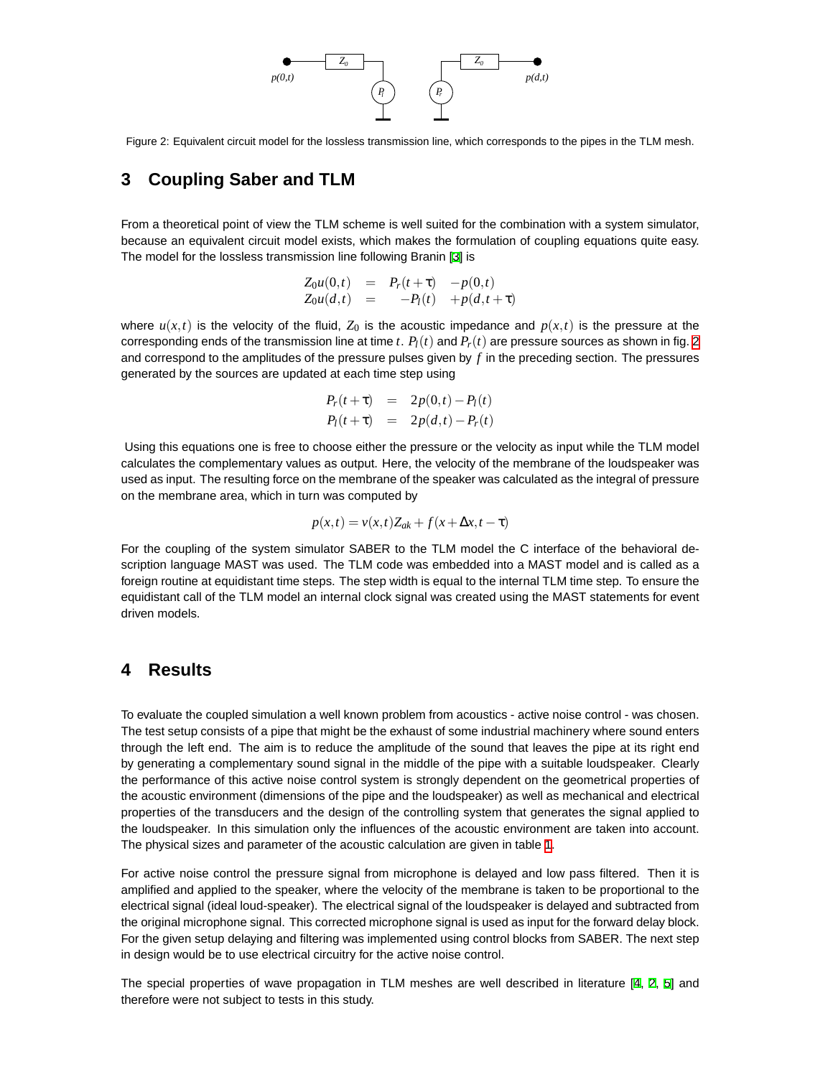

<span id="page-3-0"></span>Figure 2: Equivalent circuit model for the lossless transmission line, which corresponds to the pipes in the TLM mesh.

## **3 Coupling Saber and TLM**

From a theoretical point of view the TLM scheme is well suited for the combination with a system simulator, because an equivalent circuit model exists, which makes the formulation of coupling equations quite easy. The model for the lossless transmission line following Branin [[3\]](#page-5-2) is

$$
Z_0 u(0,t) = P_r(t+\tau) - p(0,t) Z_0 u(d,t) = -P_l(t) + p(d,t+\tau)
$$

where  $u(x,t)$  is the velocity of the fluid,  $Z_0$  is the acoustic impedance and  $p(x,t)$  is the pressure at the corresponding ends of the transmission line at time *t*.  $P_l(t)$  and  $P_r(t)$  are pressure sources as shown in fig. [2](#page-3-0) and correspond to the amplitudes of the pressure pulses given by *f* in the preceding section. The pressures generated by the sources are updated at each time step using

$$
P_r(t+\tau) = 2p(0,t) - P_l(t) P_l(t+\tau) = 2p(d,t) - P_r(t)
$$

Using this equations one is free to choose either the pressure or the velocity as input while the TLM model calculates the complementary values as output. Here, the velocity of the membrane of the loudspeaker was used as input. The resulting force on the membrane of the speaker was calculated as the integral of pressure on the membrane area, which in turn was computed by

$$
p(x,t) = v(x,t)Z_{ak} + f(x + \Delta x, t - \tau)
$$

For the coupling of the system simulator SABER to the TLM model the C interface of the behavioral description language MAST was used. The TLM code was embedded into a MAST model and is called as a foreign routine at equidistant time steps. The step width is equal to the internal TLM time step. To ensure the equidistant call of the TLM model an internal clock signal was created using the MAST statements for event driven models.

### **4 Results**

To evaluate the coupled simulation a well known problem from acoustics - active noise control - was chosen. The test setup consists of a pipe that might be the exhaust of some industrial machinery where sound enters through the left end. The aim is to reduce the amplitude of the sound that leaves the pipe at its right end by generating a complementary sound signal in the middle of the pipe with a suitable loudspeaker. Clearly the performance of this active noise control system is strongly dependent on the geometrical properties of the acoustic environment (dimensions of the pipe and the loudspeaker) as well as mechanical and electrical properties of the transducers and the design of the controlling system that generates the signal applied to the loudspeaker. In this simulation only the influences of the acoustic environment are taken into account. The physical sizes and parameter of the acoustic calculation are given in table [1.](#page-4-0)

For active noise control the pressure signal from microphone is delayed and low pass filtered. Then it is amplified and applied to the speaker, where the velocity of the membrane is taken to be proportional to the electrical signal (ideal loud-speaker). The electrical signal of the loudspeaker is delayed and subtracted from the original microphone signal. This corrected microphone signal is used as input for the forward delay block. For the given setup delaying and filtering was implemented using control blocks from SABER. The next step in design would be to use electrical circuitry for the active noise control.

The special properties of wave propagation in TLM meshes are well described in literature [\[4](#page-5-3), [2](#page-5-1), [5](#page-5-4)] and therefore were not subject to tests in this study.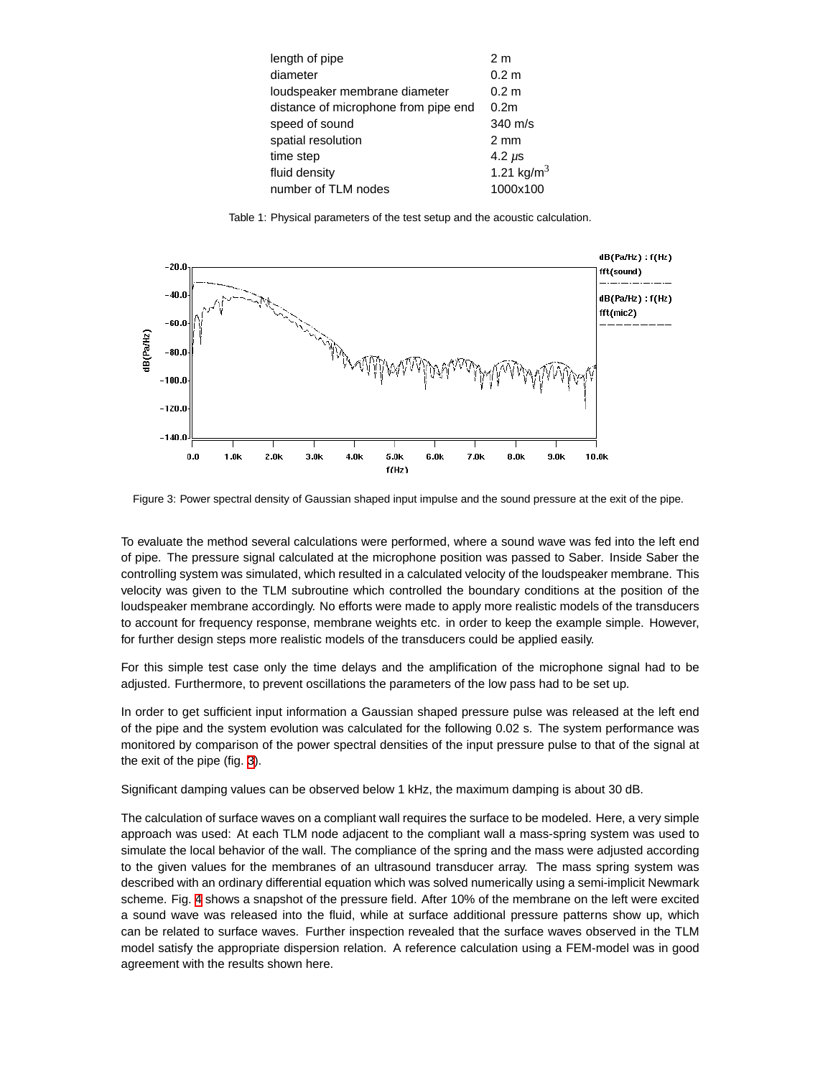| length of pipe                       | 2 <sub>m</sub>         |
|--------------------------------------|------------------------|
| diameter                             | 0.2 <sub>m</sub>       |
| loudspeaker membrane diameter        | 0.2 <sub>m</sub>       |
| distance of microphone from pipe end | 0.2 <sub>m</sub>       |
| speed of sound                       | $340$ m/s              |
| spatial resolution                   | $2 \text{ mm}$         |
| time step                            | 4.2 $\mu$ s            |
| fluid density                        | 1.21 kg/m <sup>3</sup> |
| number of TLM nodes                  | 1000x100               |
|                                      |                        |

<span id="page-4-0"></span>Table 1: Physical parameters of the test setup and the acoustic calculation.



<span id="page-4-1"></span>Figure 3: Power spectral density of Gaussian shaped input impulse and the sound pressure at the exit of the pipe.

To evaluate the method several calculations were performed, where a sound wave was fed into the left end of pipe. The pressure signal calculated at the microphone position was passed to Saber. Inside Saber the controlling system was simulated, which resulted in a calculated velocity of the loudspeaker membrane. This velocity was given to the TLM subroutine which controlled the boundary conditions at the position of the loudspeaker membrane accordingly. No efforts were made to apply more realistic models of the transducers to account for frequency response, membrane weights etc. in order to keep the example simple. However, for further design steps more realistic models of the transducers could be applied easily.

For this simple test case only the time delays and the amplification of the microphone signal had to be adjusted. Furthermore, to prevent oscillations the parameters of the low pass had to be set up.

In order to get sufficient input information a Gaussian shaped pressure pulse was released at the left end of the pipe and the system evolution was calculated for the following 0.02 s. The system performance was monitored by comparison of the power spectral densities of the input pressure pulse to that of the signal at the exit of the pipe (fig. [3\)](#page-4-1).

Significant damping values can be observed below 1 kHz, the maximum damping is about 30 dB.

The calculation of surface waves on a compliant wall requires the surface to be modeled. Here, a very simple approach was used: At each TLM node adjacent to the compliant wall a mass-spring system was used to simulate the local behavior of the wall. The compliance of the spring and the mass were adjusted according to the given values for the membranes of an ultrasound transducer array. The mass spring system was described with an ordinary differential equation which was solved numerically using a semi-implicit Newmark scheme. Fig. [4](#page-5-5) shows a snapshot of the pressure field. After 10% of the membrane on the left were excited a sound wave was released into the fluid, while at surface additional pressure patterns show up, which can be related to surface waves. Further inspection revealed that the surface waves observed in the TLM model satisfy the appropriate dispersion relation. A reference calculation using a FEM-model was in good agreement with the results shown here.